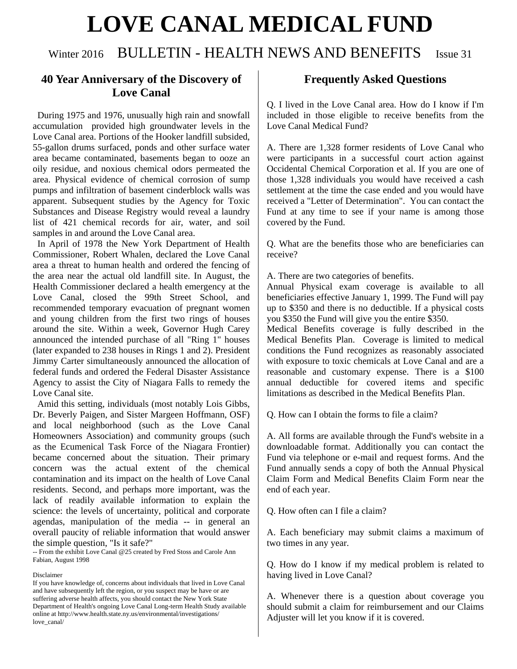# **LOVE CANAL MEDICAL FUND**

## Winter 2016 BULLETIN - HEALTH NEWS AND BENEFITS Issue 31

### **40 Year Anniversary of the Discovery of Love Canal**

 During 1975 and 1976, unusually high rain and snowfall accumulation provided high groundwater levels in the Love Canal area. Portions of the Hooker landfill subsided, 55-gallon drums surfaced, ponds and other surface water area became contaminated, basements began to ooze an oily residue, and noxious chemical odors permeated the area. Physical evidence of chemical corrosion of sump pumps and infiltration of basement cinderblock walls was apparent. Subsequent studies by the Agency for Toxic Substances and Disease Registry would reveal a laundry list of 421 chemical records for air, water, and soil samples in and around the Love Canal area.

 In April of 1978 the New York Department of Health Commissioner, Robert Whalen, declared the Love Canal area a threat to human health and ordered the fencing of the area near the actual old landfill site. In August, the Health Commissioner declared a health emergency at the Love Canal, closed the 99th Street School, and recommended temporary evacuation of pregnant women and young children from the first two rings of houses around the site. Within a week, Governor Hugh Carey announced the intended purchase of all "Ring 1" houses (later expanded to 238 houses in Rings 1 and 2). President Jimmy Carter simultaneously announced the allocation of federal funds and ordered the Federal Disaster Assistance Agency to assist the City of Niagara Falls to remedy the Love Canal site.

 Amid this setting, individuals (most notably Lois Gibbs, Dr. Beverly Paigen, and Sister Margeen Hoffmann, OSF) and local neighborhood (such as the Love Canal Homeowners Association) and community groups (such as the Ecumenical Task Force of the Niagara Frontier) became concerned about the situation. Their primary concern was the actual extent of the chemical contamination and its impact on the health of Love Canal residents. Second, and perhaps more important, was the lack of readily available information to explain the science: the levels of uncertainty, political and corporate agendas, manipulation of the media -- in general an overall paucity of reliable information that would answer the simple question, "Is it safe?"

-- From the exhibit Love Canal @25 created by Fred Stoss and Carole Ann Fabian, August 1998

Disclaimer

If you have knowledge of, concerns about individuals that lived in Love Canal and have subsequently left the region, or you suspect may be have or are suffering adverse health affects, you should contact the New York State Department of Health's ongoing Love Canal Long-term Health Study available online at http://www.health.state.ny.us/environmental/investigations/ love\_canal/

#### **Frequently Asked Questions**

Q. I lived in the Love Canal area. How do I know if I'm included in those eligible to receive benefits from the Love Canal Medical Fund?

A. There are 1,328 former residents of Love Canal who were participants in a successful court action against Occidental Chemical Corporation et al. If you are one of those 1,328 individuals you would have received a cash settlement at the time the case ended and you would have received a "Letter of Determination". You can contact the Fund at any time to see if your name is among those covered by the Fund.

Q. What are the benefits those who are beneficiaries can receive?

A. There are two categories of benefits.

Annual Physical exam coverage is available to all beneficiaries effective January 1, 1999. The Fund will pay up to \$350 and there is no deductible. If a physical costs you \$350 the Fund will give you the entire \$350.

Medical Benefits coverage is fully described in the Medical Benefits Plan. Coverage is limited to medical conditions the Fund recognizes as reasonably associated with exposure to toxic chemicals at Love Canal and are a reasonable and customary expense. There is a \$100 annual deductible for covered items and specific limitations as described in the Medical Benefits Plan.

Q. How can I obtain the forms to file a claim?

A. All forms are available through the Fund's website in a downloadable format. Additionally you can contact the Fund via telephone or e-mail and request forms. And the Fund annually sends a copy of both the Annual Physical Claim Form and Medical Benefits Claim Form near the end of each year.

Q. How often can I file a claim?

A. Each beneficiary may submit claims a maximum of two times in any year.

Q. How do I know if my medical problem is related to having lived in Love Canal?

A. Whenever there is a question about coverage you should submit a claim for reimbursement and our Claims Adjuster will let you know if it is covered.